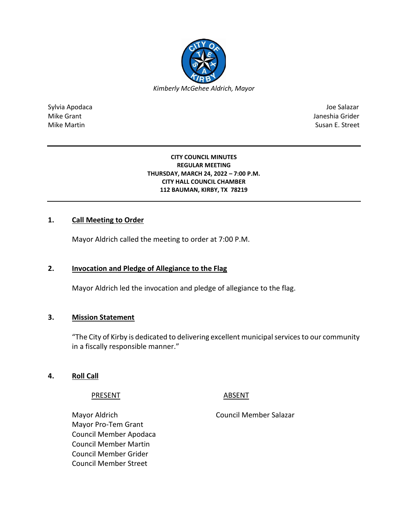

Sylvia Apodaca Joe Salazar Joe Salazar Joe Salazar Joe Salazar Joe Salazar Joe Salazar Joe Salazar Joe Salazar Mike Grant **Janeshia Grider** Mike Grant Janeshia Grider **Janeshia Grider** Mike Grant Janeshia Grider Mike Martin Susan E. Street

#### **CITY COUNCIL MINUTES REGULAR MEETING THURSDAY, MARCH 24, 2022 – 7:00 P.M. CITY HALL COUNCIL CHAMBER 112 BAUMAN, KIRBY, TX 78219**

## **1. Call Meeting to Order**

Mayor Aldrich called the meeting to order at 7:00 P.M.

## **2. Invocation and Pledge of Allegiance to the Flag**

Mayor Aldrich led the invocation and pledge of allegiance to the flag.

## **3. Mission Statement**

"The City of Kirby is dedicated to delivering excellent municipal services to our community in a fiscally responsible manner."

## **4. Roll Call**

PRESENT ABSENT

Mayor Aldrich Council Member Salazar Mayor Pro-Tem Grant Council Member Apodaca Council Member Martin Council Member Grider Council Member Street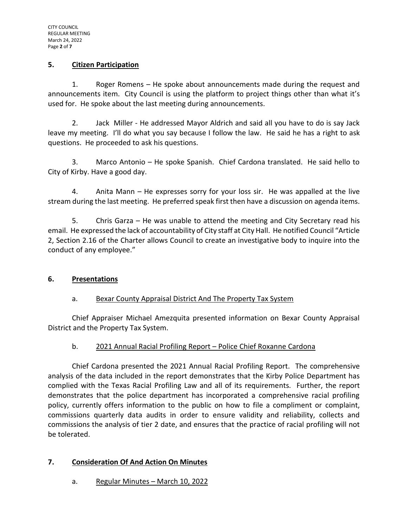## **5. Citizen Participation**

1. Roger Romens – He spoke about announcements made during the request and announcements item. City Council is using the platform to project things other than what it's used for. He spoke about the last meeting during announcements.

2. Jack Miller - He addressed Mayor Aldrich and said all you have to do is say Jack leave my meeting. I'll do what you say because I follow the law. He said he has a right to ask questions. He proceeded to ask his questions.

3. Marco Antonio – He spoke Spanish. Chief Cardona translated. He said hello to City of Kirby. Have a good day.

4. Anita Mann – He expresses sorry for your loss sir. He was appalled at the live stream during the last meeting. He preferred speak first then have a discussion on agenda items.

5. Chris Garza – He was unable to attend the meeting and City Secretary read his email. He expressed the lack of accountability of City staff at City Hall. He notified Council "Article 2, Section 2.16 of the Charter allows Council to create an investigative body to inquire into the conduct of any employee."

# **6. Presentations**

# a. Bexar County Appraisal District And The Property Tax System

Chief Appraiser Michael Amezquita presented information on Bexar County Appraisal District and the Property Tax System.

# b. 2021 Annual Racial Profiling Report – Police Chief Roxanne Cardona

Chief Cardona presented the 2021 Annual Racial Profiling Report. The comprehensive analysis of the data included in the report demonstrates that the Kirby Police Department has complied with the Texas Racial Profiling Law and all of its requirements. Further, the report demonstrates that the police department has incorporated a comprehensive racial profiling policy, currently offers information to the public on how to file a compliment or complaint, commissions quarterly data audits in order to ensure validity and reliability, collects and commissions the analysis of tier 2 date, and ensures that the practice of racial profiling will not be tolerated.

## **7. Consideration Of And Action On Minutes**

a. Regular Minutes – March 10, 2022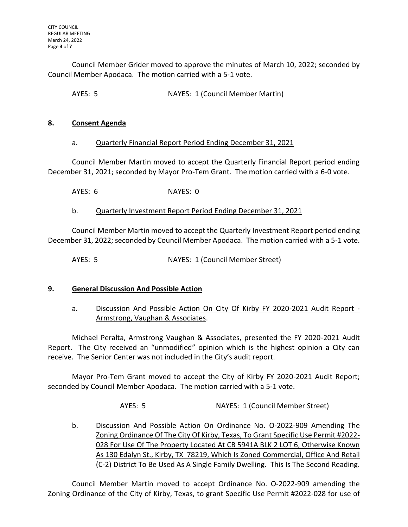Council Member Grider moved to approve the minutes of March 10, 2022; seconded by Council Member Apodaca. The motion carried with a 5-1 vote.

AYES: 5 NAYES: 1 (Council Member Martin)

## **8. Consent Agenda**

## a. Quarterly Financial Report Period Ending December 31, 2021

Council Member Martin moved to accept the Quarterly Financial Report period ending December 31, 2021; seconded by Mayor Pro-Tem Grant. The motion carried with a 6-0 vote.

AYES: 6 NAYES: 0

# b. Quarterly Investment Report Period Ending December 31, 2021

Council Member Martin moved to accept the Quarterly Investment Report period ending December 31, 2022; seconded by Council Member Apodaca. The motion carried with a 5-1 vote.

AYES: 5 NAYES: 1 (Council Member Street)

# **9. General Discussion And Possible Action**

a. Discussion And Possible Action On City Of Kirby FY 2020-2021 Audit Report - Armstrong, Vaughan & Associates.

Michael Peralta, Armstrong Vaughan & Associates, presented the FY 2020-2021 Audit Report. The City received an "unmodified" opinion which is the highest opinion a City can receive. The Senior Center was not included in the City's audit report.

Mayor Pro-Tem Grant moved to accept the City of Kirby FY 2020-2021 Audit Report; seconded by Council Member Apodaca. The motion carried with a 5-1 vote.

AYES: 5 NAYES: 1 (Council Member Street)

b. Discussion And Possible Action On Ordinance No. O-2022-909 Amending The Zoning Ordinance Of The City Of Kirby, Texas, To Grant Specific Use Permit #2022- 028 For Use Of The Property Located At CB 5941A BLK 2 LOT 6, Otherwise Known As 130 Edalyn St., Kirby, TX 78219, Which Is Zoned Commercial, Office And Retail (C-2) District To Be Used As A Single Family Dwelling. This Is The Second Reading.

Council Member Martin moved to accept Ordinance No. O-2022-909 amending the Zoning Ordinance of the City of Kirby, Texas, to grant Specific Use Permit #2022-028 for use of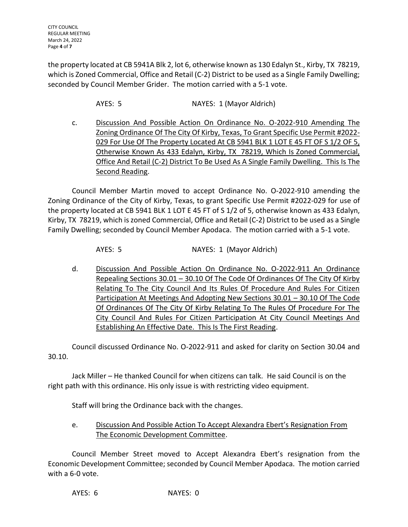the property located at CB 5941A Blk 2, lot 6, otherwise known as 130 Edalyn St., Kirby, TX 78219, which is Zoned Commercial, Office and Retail (C-2) District to be used as a Single Family Dwelling; seconded by Council Member Grider. The motion carried with a 5-1 vote.

AYES: 5 NAYES: 1 (Mayor Aldrich)

c. Discussion And Possible Action On Ordinance No. O-2022-910 Amending The Zoning Ordinance Of The City Of Kirby, Texas, To Grant Specific Use Permit #2022- 029 For Use Of The Property Located At CB 5941 BLK 1 LOT E 45 FT OF S 1/2 OF 5, Otherwise Known As 433 Edalyn, Kirby, TX 78219, Which Is Zoned Commercial, Office And Retail (C-2) District To Be Used As A Single Family Dwelling. This Is The Second Reading.

Council Member Martin moved to accept Ordinance No. O-2022-910 amending the Zoning Ordinance of the City of Kirby, Texas, to grant Specific Use Permit #2022-029 for use of the property located at CB 5941 BLK 1 LOT E 45 FT of S 1/2 of 5, otherwise known as 433 Edalyn, Kirby, TX 78219, which is zoned Commercial, Office and Retail (C-2) District to be used as a Single Family Dwelling; seconded by Council Member Apodaca. The motion carried with a 5-1 vote.

AYES: 5 NAYES: 1 (Mayor Aldrich)

d. Discussion And Possible Action On Ordinance No. O-2022-911 An Ordinance Repealing Sections 30.01 – 30.10 Of The Code Of Ordinances Of The City Of Kirby Relating To The City Council And Its Rules Of Procedure And Rules For Citizen Participation At Meetings And Adopting New Sections 30.01 – 30.10 Of The Code Of Ordinances Of The City Of Kirby Relating To The Rules Of Procedure For The City Council And Rules For Citizen Participation At City Council Meetings And Establishing An Effective Date. This Is The First Reading.

Council discussed Ordinance No. O-2022-911 and asked for clarity on Section 30.04 and 30.10.

Jack Miller – He thanked Council for when citizens can talk. He said Council is on the right path with this ordinance. His only issue is with restricting video equipment.

Staff will bring the Ordinance back with the changes.

e. Discussion And Possible Action To Accept Alexandra Ebert's Resignation From The Economic Development Committee.

Council Member Street moved to Accept Alexandra Ebert's resignation from the Economic Development Committee; seconded by Council Member Apodaca. The motion carried with a 6-0 vote.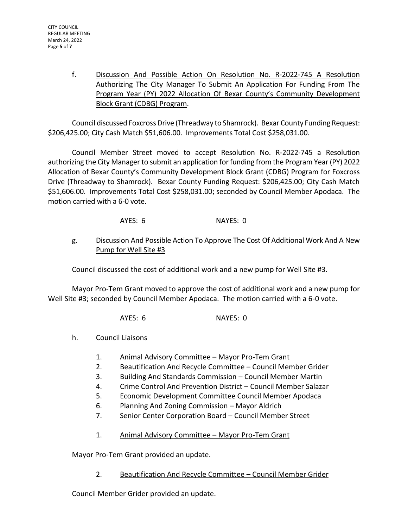f. Discussion And Possible Action On Resolution No. R-2022-745 A Resolution Authorizing The City Manager To Submit An Application For Funding From The Program Year (PY) 2022 Allocation Of Bexar County's Community Development Block Grant (CDBG) Program.

Council discussed Foxcross Drive (Threadway to Shamrock). Bexar County Funding Request: \$206,425.00; City Cash Match \$51,606.00. Improvements Total Cost \$258,031.00.

Council Member Street moved to accept Resolution No. R-2022-745 a Resolution authorizing the City Manager to submit an application for funding from the Program Year (PY) 2022 Allocation of Bexar County's Community Development Block Grant (CDBG) Program for Foxcross Drive (Threadway to Shamrock). Bexar County Funding Request: \$206,425.00; City Cash Match \$51,606.00. Improvements Total Cost \$258,031.00; seconded by Council Member Apodaca. The motion carried with a 6-0 vote.

AYES: 6 NAYES: 0

# g. Discussion And Possible Action To Approve The Cost Of Additional Work And A New Pump for Well Site #3

Council discussed the cost of additional work and a new pump for Well Site #3.

Mayor Pro-Tem Grant moved to approve the cost of additional work and a new pump for Well Site #3; seconded by Council Member Apodaca. The motion carried with a 6-0 vote.

AYES: 6 NAYES: 0

h. Council Liaisons

- 1. Animal Advisory Committee Mayor Pro-Tem Grant
- 2. Beautification And Recycle Committee Council Member Grider
- 3. Building And Standards Commission Council Member Martin
- 4. Crime Control And Prevention District Council Member Salazar
- 5. Economic Development Committee Council Member Apodaca
- 6. Planning And Zoning Commission Mayor Aldrich
- 7. Senior Center Corporation Board Council Member Street
- 1. Animal Advisory Committee Mayor Pro-Tem Grant

Mayor Pro-Tem Grant provided an update.

2. Beautification And Recycle Committee – Council Member Grider

Council Member Grider provided an update.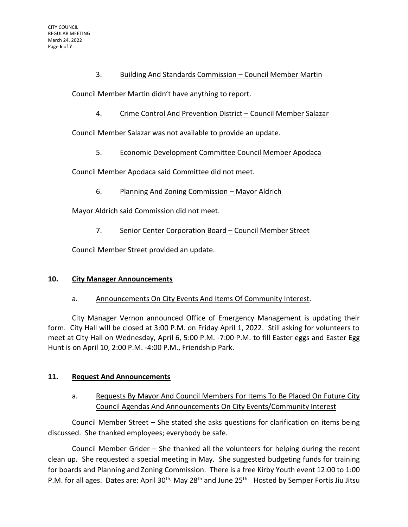# 3. Building And Standards Commission – Council Member Martin

Council Member Martin didn't have anything to report.

4. Crime Control And Prevention District – Council Member Salazar

Council Member Salazar was not available to provide an update.

5. Economic Development Committee Council Member Apodaca

Council Member Apodaca said Committee did not meet.

6. Planning And Zoning Commission – Mayor Aldrich

Mayor Aldrich said Commission did not meet.

7. Senior Center Corporation Board – Council Member Street

Council Member Street provided an update.

## **10. City Manager Announcements**

## a. Announcements On City Events And Items Of Community Interest.

City Manager Vernon announced Office of Emergency Management is updating their form. City Hall will be closed at 3:00 P.M. on Friday April 1, 2022. Still asking for volunteers to meet at City Hall on Wednesday, April 6, 5:00 P.M. -7:00 P.M. to fill Easter eggs and Easter Egg Hunt is on April 10, 2:00 P.M. -4:00 P.M., Friendship Park.

## **11. Request And Announcements**

# a. Requests By Mayor And Council Members For Items To Be Placed On Future City Council Agendas And Announcements On City Events/Community Interest

Council Member Street – She stated she asks questions for clarification on items being discussed. She thanked employees; everybody be safe.

Council Member Grider – She thanked all the volunteers for helping during the recent clean up. She requested a special meeting in May. She suggested budgeting funds for training for boards and Planning and Zoning Commission. There is a free Kirby Youth event 12:00 to 1:00 P.M. for all ages. Dates are: April 30<sup>th,</sup> May 28<sup>th</sup> and June 25<sup>th.</sup> Hosted by Semper Fortis Jiu Jitsu